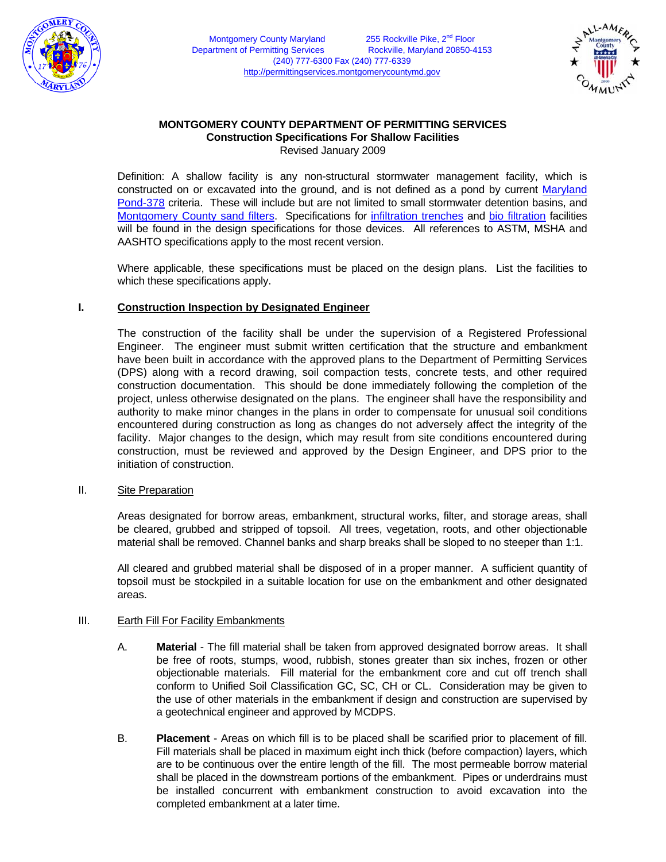



### **MONTGOMERY COUNTY DEPARTMENT OF PERMITTING SERVICES Construction Specifications For Shallow Facilities**  Revised January 2009

 Definition: A shallow facility is any non-structural stormwater management facility, which is constructed on or excavated into the ground, and is not defined as a pond by current Maryland Pond-378 criteria. These will include but are not limited to small stormwater detention basins, and Montgomery County sand filters. Specifications for infiltration trenches and bio filtration facilities will be found in the design specifications for those devices. All references to ASTM, MSHA and AASHTO specifications apply to the most recent version.

 Where applicable, these specifications must be placed on the design plans. List the facilities to which these specifications apply.

# **I. Construction Inspection by Designated Engineer**

 The construction of the facility shall be under the supervision of a Registered Professional Engineer. The engineer must submit written certification that the structure and embankment have been built in accordance with the approved plans to the Department of Permitting Services (DPS) along with a record drawing, soil compaction tests, concrete tests, and other required construction documentation. This should be done immediately following the completion of the project, unless otherwise designated on the plans. The engineer shall have the responsibility and authority to make minor changes in the plans in order to compensate for unusual soil conditions encountered during construction as long as changes do not adversely affect the integrity of the facility. Major changes to the design, which may result from site conditions encountered during construction, must be reviewed and approved by the Design Engineer, and DPS prior to the initiation of construction.

## II. Site Preparation

 Areas designated for borrow areas, embankment, structural works, filter, and storage areas, shall be cleared, grubbed and stripped of topsoil. All trees, vegetation, roots, and other objectionable material shall be removed. Channel banks and sharp breaks shall be sloped to no steeper than 1:1.

 All cleared and grubbed material shall be disposed of in a proper manner. A sufficient quantity of topsoil must be stockpiled in a suitable location for use on the embankment and other designated areas.

## III. Earth Fill For Facility Embankments

- A. **Material** The fill material shall be taken from approved designated borrow areas. It shall be free of roots, stumps, wood, rubbish, stones greater than six inches, frozen or other objectionable materials. Fill material for the embankment core and cut off trench shall conform to Unified Soil Classification GC, SC, CH or CL. Consideration may be given to the use of other materials in the embankment if design and construction are supervised by a geotechnical engineer and approved by MCDPS.
- B. **Placement** Areas on which fill is to be placed shall be scarified prior to placement of fill. Fill materials shall be placed in maximum eight inch thick (before compaction) layers, which are to be continuous over the entire length of the fill. The most permeable borrow material shall be placed in the downstream portions of the embankment. Pipes or underdrains must be installed concurrent with embankment construction to avoid excavation into the completed embankment at a later time.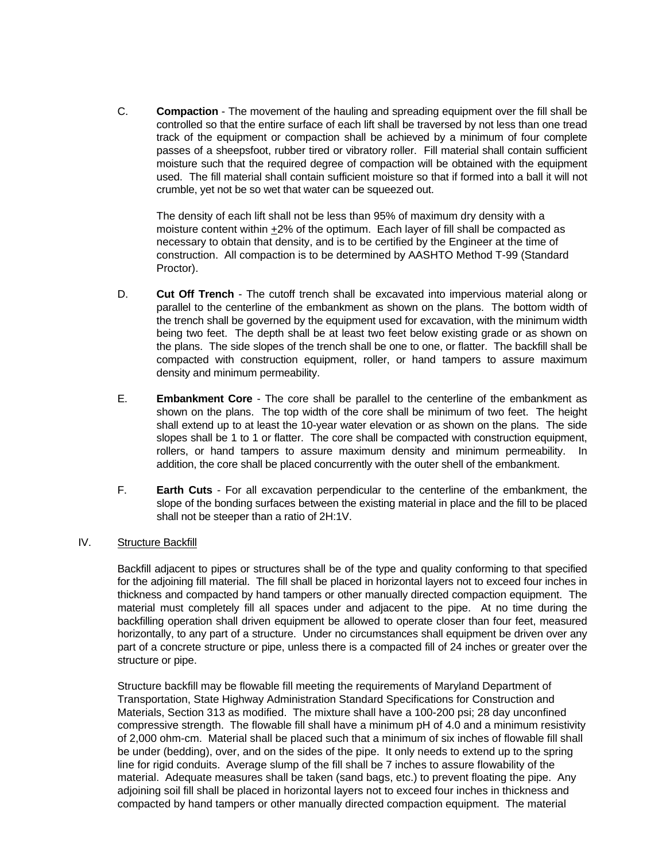C. **Compaction** - The movement of the hauling and spreading equipment over the fill shall be controlled so that the entire surface of each lift shall be traversed by not less than one tread track of the equipment or compaction shall be achieved by a minimum of four complete passes of a sheepsfoot, rubber tired or vibratory roller. Fill material shall contain sufficient moisture such that the required degree of compaction will be obtained with the equipment used. The fill material shall contain sufficient moisture so that if formed into a ball it will not crumble, yet not be so wet that water can be squeezed out.

 The density of each lift shall not be less than 95% of maximum dry density with a moisture content within +2% of the optimum. Each layer of fill shall be compacted as necessary to obtain that density, and is to be certified by the Engineer at the time of construction. All compaction is to be determined by AASHTO Method T-99 (Standard Proctor).

- D. **Cut Off Trench** The cutoff trench shall be excavated into impervious material along or parallel to the centerline of the embankment as shown on the plans. The bottom width of the trench shall be governed by the equipment used for excavation, with the minimum width being two feet. The depth shall be at least two feet below existing grade or as shown on the plans. The side slopes of the trench shall be one to one, or flatter. The backfill shall be compacted with construction equipment, roller, or hand tampers to assure maximum density and minimum permeability.
- E. **Embankment Core** The core shall be parallel to the centerline of the embankment as shown on the plans. The top width of the core shall be minimum of two feet. The height shall extend up to at least the 10-year water elevation or as shown on the plans. The side slopes shall be 1 to 1 or flatter. The core shall be compacted with construction equipment, rollers, or hand tampers to assure maximum density and minimum permeability. In addition, the core shall be placed concurrently with the outer shell of the embankment.
- F. **Earth Cuts** For all excavation perpendicular to the centerline of the embankment, the slope of the bonding surfaces between the existing material in place and the fill to be placed shall not be steeper than a ratio of 2H:1V.
- IV. Structure Backfill

 Backfill adjacent to pipes or structures shall be of the type and quality conforming to that specified for the adjoining fill material. The fill shall be placed in horizontal layers not to exceed four inches in thickness and compacted by hand tampers or other manually directed compaction equipment. The material must completely fill all spaces under and adjacent to the pipe. At no time during the backfilling operation shall driven equipment be allowed to operate closer than four feet, measured horizontally, to any part of a structure. Under no circumstances shall equipment be driven over any part of a concrete structure or pipe, unless there is a compacted fill of 24 inches or greater over the structure or pipe.

 Structure backfill may be flowable fill meeting the requirements of Maryland Department of Transportation, State Highway Administration Standard Specifications for Construction and Materials, Section 313 as modified. The mixture shall have a 100-200 psi; 28 day unconfined compressive strength. The flowable fill shall have a minimum pH of 4.0 and a minimum resistivity of 2,000 ohm-cm. Material shall be placed such that a minimum of six inches of flowable fill shall be under (bedding), over, and on the sides of the pipe. It only needs to extend up to the spring line for rigid conduits. Average slump of the fill shall be 7 inches to assure flowability of the material. Adequate measures shall be taken (sand bags, etc.) to prevent floating the pipe. Any adjoining soil fill shall be placed in horizontal layers not to exceed four inches in thickness and compacted by hand tampers or other manually directed compaction equipment. The material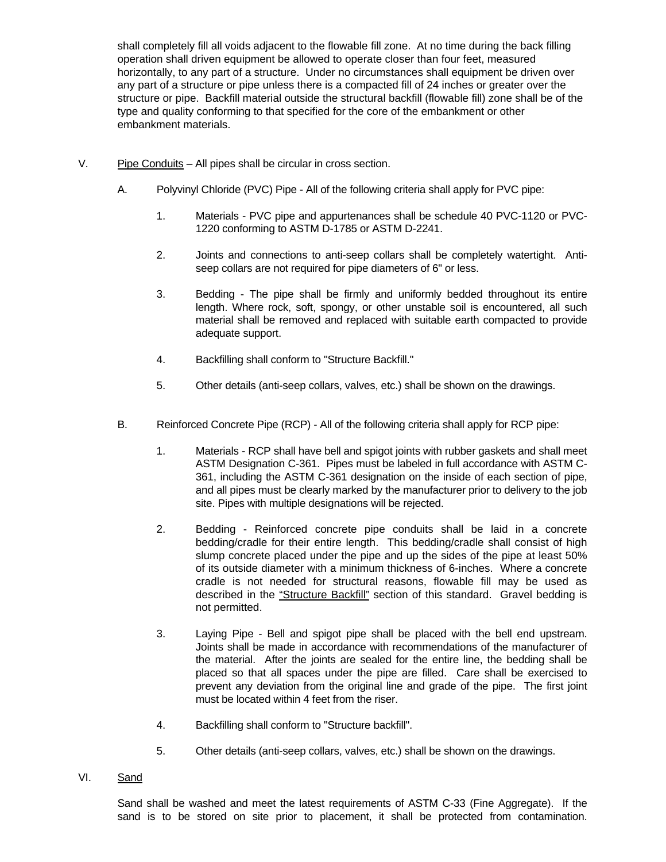shall completely fill all voids adjacent to the flowable fill zone. At no time during the back filling operation shall driven equipment be allowed to operate closer than four feet, measured horizontally, to any part of a structure. Under no circumstances shall equipment be driven over any part of a structure or pipe unless there is a compacted fill of 24 inches or greater over the structure or pipe. Backfill material outside the structural backfill (flowable fill) zone shall be of the type and quality conforming to that specified for the core of the embankment or other embankment materials.

- V. Pipe Conduits All pipes shall be circular in cross section.
	- A. Polyvinyl Chloride (PVC) Pipe All of the following criteria shall apply for PVC pipe:
		- 1. Materials PVC pipe and appurtenances shall be schedule 40 PVC-1120 or PVC-1220 conforming to ASTM D-1785 or ASTM D-2241.
		- 2. Joints and connections to anti-seep collars shall be completely watertight. Antiseep collars are not required for pipe diameters of 6" or less.
		- 3. Bedding The pipe shall be firmly and uniformly bedded throughout its entire length. Where rock, soft, spongy, or other unstable soil is encountered, all such material shall be removed and replaced with suitable earth compacted to provide adequate support.
		- 4. Backfilling shall conform to "Structure Backfill."
		- 5. Other details (anti-seep collars, valves, etc.) shall be shown on the drawings.
	- B. Reinforced Concrete Pipe (RCP) All of the following criteria shall apply for RCP pipe:
		- 1. Materials RCP shall have bell and spigot joints with rubber gaskets and shall meet ASTM Designation C-361. Pipes must be labeled in full accordance with ASTM C-361, including the ASTM C-361 designation on the inside of each section of pipe, and all pipes must be clearly marked by the manufacturer prior to delivery to the job site. Pipes with multiple designations will be rejected.
		- 2. Bedding Reinforced concrete pipe conduits shall be laid in a concrete bedding/cradle for their entire length. This bedding/cradle shall consist of high slump concrete placed under the pipe and up the sides of the pipe at least 50% of its outside diameter with a minimum thickness of 6-inches. Where a concrete cradle is not needed for structural reasons, flowable fill may be used as described in the "Structure Backfill" section of this standard. Gravel bedding is not permitted.
		- 3. Laying Pipe Bell and spigot pipe shall be placed with the bell end upstream. Joints shall be made in accordance with recommendations of the manufacturer of the material. After the joints are sealed for the entire line, the bedding shall be placed so that all spaces under the pipe are filled. Care shall be exercised to prevent any deviation from the original line and grade of the pipe. The first joint must be located within 4 feet from the riser.
		- 4. Backfilling shall conform to "Structure backfill".
		- 5. Other details (anti-seep collars, valves, etc.) shall be shown on the drawings.
- VI. Sand

 Sand shall be washed and meet the latest requirements of ASTM C-33 (Fine Aggregate). If the sand is to be stored on site prior to placement, it shall be protected from contamination.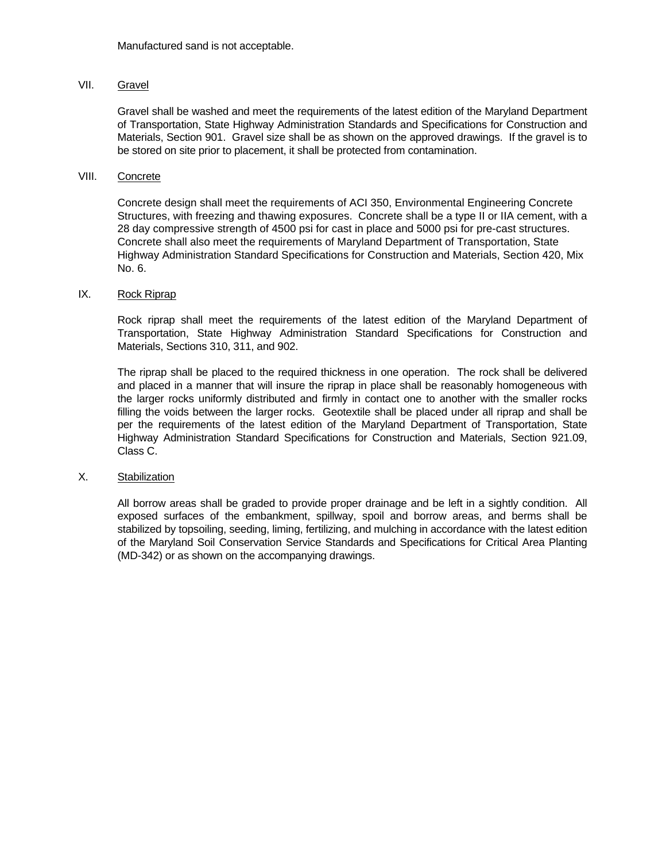Manufactured sand is not acceptable.

#### VII. Gravel

 Gravel shall be washed and meet the requirements of the latest edition of the Maryland Department of Transportation, State Highway Administration Standards and Specifications for Construction and Materials, Section 901. Gravel size shall be as shown on the approved drawings. If the gravel is to be stored on site prior to placement, it shall be protected from contamination.

## VIII. Concrete

Concrete design shall meet the requirements of ACI 350, Environmental Engineering Concrete Structures, with freezing and thawing exposures. Concrete shall be a type II or IIA cement, with a 28 day compressive strength of 4500 psi for cast in place and 5000 psi for pre-cast structures. Concrete shall also meet the requirements of Maryland Department of Transportation, State Highway Administration Standard Specifications for Construction and Materials, Section 420, Mix No. 6.

#### IX. Rock Riprap

Rock riprap shall meet the requirements of the latest edition of the Maryland Department of Transportation, State Highway Administration Standard Specifications for Construction and Materials, Sections 310, 311, and 902.

 The riprap shall be placed to the required thickness in one operation. The rock shall be delivered and placed in a manner that will insure the riprap in place shall be reasonably homogeneous with the larger rocks uniformly distributed and firmly in contact one to another with the smaller rocks filling the voids between the larger rocks. Geotextile shall be placed under all riprap and shall be per the requirements of the latest edition of the Maryland Department of Transportation, State Highway Administration Standard Specifications for Construction and Materials, Section 921.09, Class C.

### X. Stabilization

 All borrow areas shall be graded to provide proper drainage and be left in a sightly condition. All exposed surfaces of the embankment, spillway, spoil and borrow areas, and berms shall be stabilized by topsoiling, seeding, liming, fertilizing, and mulching in accordance with the latest edition of the Maryland Soil Conservation Service Standards and Specifications for Critical Area Planting (MD-342) or as shown on the accompanying drawings.